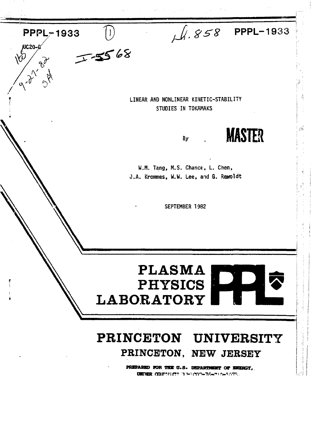$\sqrt{4.858}$  PPPL-1933 PPPL-1933 November 2014  $7 - 5568$ LINEAR AND NONLINEAR KINETIC-STABILITY STUDIES IN TOKAMAKS **MASTER**  $Bv$ W.M. Tang, M.S. Chance, L. Chen, J.A. Krommes, W.W. Lee, and G. Rewoldt SEPTEMBER 1982 **PLASMA** DD  $|\vec{v}|$ PHYSICS **LABORATORY** PRINCETON UNIVERSITY PRINCETON. NEW JERSEY PREPARED FOR THE U.S. DEPARTMENT OF ENERGY, **UNIVER: COURTER CETTA トリウクトアキャラトラングス..**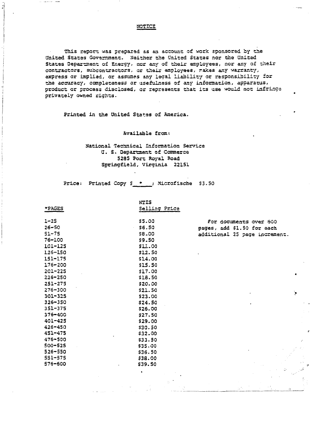# NOTICE

This report was prepared as an account of work sponsored by the United States Government. Neither the United States nor the United States Department of Energy, nor any of their employees, nor any of their contractors, subcontractors, or their employees, rakes any warranty, express or implied, or assumes any legal liability or responsibility for the accuracy, completeness or usefulness of any information, apparatus, product or process disclosed, or represents that its use would not infringe privately owned rights.

Printed in the United States of America.

## Available from:

# National Technical Information Service Q. 3. Department of Commerce 5235 Port Royal Eoad Springfield, Virginia 22151

Price: Printed Copy \$ \* : Microfische \$3.50

|             | NTIS          |                               |
|-------------|---------------|-------------------------------|
| *PAGES      | Selling Price |                               |
| $1 - 25$    | \$5.00        | For documents over 600        |
| $26 - 50$   | \$6.50        | pages, add \$1.50 for each    |
| $51 - 75$   | \$8.00        | additional 25 page increment. |
| 76-100      | <b>S9.50</b>  |                               |
| $101 - 125$ | <b>SII.00</b> |                               |
| 126-ISO     | \$12.50       |                               |
| $151 - 175$ | \$14.00       |                               |
| $176 - 200$ | \$15.50       |                               |
| $201 - 225$ | \$17.00       |                               |
| $226 - 250$ | \$18.50       |                               |
| $251 - 275$ | \$20.00       |                               |
| $276 - 300$ | \$21.50       |                               |
| 301-325     | \$23.00       |                               |
| 326-350     | \$24.50       |                               |
| 351-375     | \$26.00       |                               |
| 376-400     | \$27.50       |                               |
| $401 - 425$ | \$29.00       |                               |
| $426 - 450$ | \$30.50       |                               |
| $451 - 475$ | \$32.00       |                               |
| $476 - 500$ | \$33.50       |                               |
| $500 - 525$ | \$35.00       |                               |
| $526 - 550$ | \$36.50       |                               |
| 551-575     | \$38.00       |                               |
| 576-500     | \$39.50       |                               |
|             |               |                               |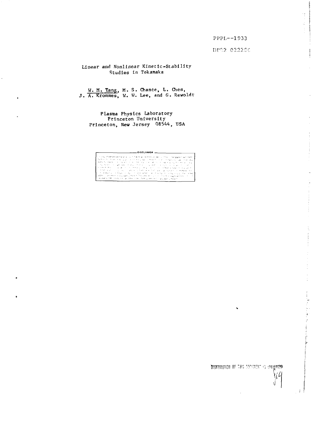#### PPPL--1933

ģ.

 $\mathcal{C}^{\text{in}}$  and  $\mathcal{C}^{\text{in}}$  . The continuum of  $\mathcal{C}^{\text{in}}$ 

 $\frac{1}{2}$ 

计电子 医血管下垂 医血管

į.

DF32 022200

# Linear and Nonlinear Kinetic-Stability Studies in Tokamaks

# W. M. Tang, M. S. Chance, L. Chen,<br>J. A. Krommes, W. W. Lee, and G. Rewoldt

Plasma Physics Laboratory Princeton University Princeton, New Jersey 08544, USA

#### $-$  DISCLAIMER  $-$

DISTRIBUTION OF THIS SECONDATING ON WATER 'Yú

۱Ì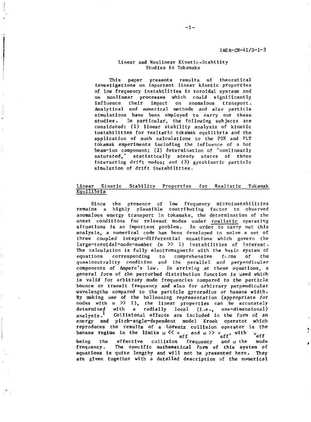#### Linear and Nonlinear Kinetic-Stability Studies in Tokamaks

This paper presents results of theoretical investigations on important linear kinetic properties of low frequency instabilities in toroidal systems and on nonlinear processes which could significantly influence their impact on anomalous transport. Analytical and numerical methods and also particle simulations have been employed to carry out these studies. In particular, the following subjects are considered: (1) linear stability analysis of kinetic instabilities for realistic tokamak equilibria and the application of such calculations to the PDX and PLT tokamak experiments including the influence of a hot beam-ion component; (2) determination of "nonlinearly saturated," statistically steady states of three interacting drift modes; and (3) gyroklnetic particle simulation of drift instabilities.

### Linear Kinetic Stability Properties for Realistic Tokamak  $Equ111b$ ria

Since the presence of low frequency microinstabilities remains a highly plausible contributing factor to observed anomalous energy transport in tokamaks, the determination of the onset conditions for relevant modes under realistic operating situations is an important problem. In order to carry out this analysis, a numerical code has been developed to solve a set of three coupled lntegro-differential equations which govern the large-toroidal-mode-number (n >> 1) instabilities of interest. The calculation is fully electromagnetic with the basic system of equations corresponding to comprehensive  $f\circ r$  of the equations corresponding to comprehensive forms of the quasineutrality condition and the parallel and perpendicular components of Ampere's law. In arriving at these equations, a general form of the perturbed distribution function is used which is valid for arbitrary mode frequencies compared to the particle bounce or transit frequency and also for arbitrary perpendicular wavelengths compared to the particle gyroradius or banana width. By making use of the ballooning representation (appropriate for modes with  $n \gg 1$ , the linear properties can be accurately determined with a radially local (i.e., one-dimensional) analysis.<sup>1</sup> Collisional effects are included in the form of an energy and pitch-angle-dependent model Krook operator which reproduces the results of a Lorentz collision operator in the banana regime in the limits  $\omega \ll v$ , and  $\omega \gg v$ , with  $v$ , eff errett errett.<br>Execution and the mode being the effective collision frequency and  $\omega$  the mode frequency. The specific mathematical form of this system of equations is quite lengthy and will not be presented here. They  $\epsilon$  and  $\epsilon$  is the presented in the presented here. The presented here of the presented here. They can be presented here. The presented here. The presented here. The presented here. The presented here. The presented of

are given together with a detailed description of the numerical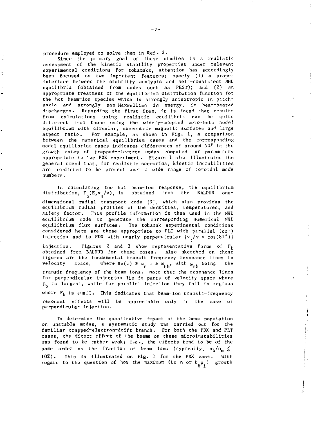procedure employed to solve them in Ref. 2.

Since the primary goal of these studies is a realistic assessment of the kinetic stability properties under relevant experimental conditions for tokamaks, attention has accordingly been focused on two important features; namely (1) a proper interface between the stability analysis and self-consistent MHD equilibria (obtained from codes such as PEST); and (2) an appropriate treatment of the equilibrium distribution function for the hot beam-ion species which is strongly anisotropic In pitchangle and strongly non-Maxwellian in energy, in beam-heated discharges. Regarding the first item, It is found that results from calculations using realistic equilibria can be quite different from those using the widely-adopted zero-beta model equilibrium with circular, concentric magnetic surfaces and large aspect ratio. For example, as shown in Fig. 1, a comparison between the numerical equilibrium cases and the corresponding model equilibrium cases indicates differences of around 50% in the growth rates of trapped-electron modes computed for parameters appropriate to the POX experiment. Figure 1 also illustrates the general trend that, for realistic scenarios, kinetic Instabilities are predicted to be present over a wide range of toroidal mode numbers .

In calculating the hot beam-ion response, the equilibrium distribution,  $F_h(E, v_{\parallel}/v)$ , is obtained from the BALDUR onedimensional radial transport code [3J, which also provides the equilibrium radial profiles of the densities, temperatures, and safety factor. This profile Information is then used in the MHD equilibrium code to generate the corresponding numerical MHD equilibrium flux surfaces. The tokamak experimental conditions considered here are those appropriate to PLT with parailel (co-) injection and to PDX with nearly perpendicular  $\{v_{\mu}/v \approx \cos(81^{\circ})\}$ 

injection. Figures 2 and 3 show representative forms of  $F_h$ obtained from BALDUR for these cases. Also sketched on these figures are the fundamental transit frequency resonance lines in velocity space, where  $Re(\omega) = \omega_r = \pm \omega_{tb}$ , with  $\omega_{tb}$  being the transit frequency of the beam ions. Note that the resonance lines for perpendicular injection lie in parts of velocity space where for perpendicular injection lie in parts of velocity space where  $r_b$  is largest, while for parallel injection they fall in regions where  $F_b$  is suall. This indicates that beam-ion transit-frequency resonant effects will be appreciable only In the case of

To determine the quantitative impact of the beam population on unstable modes, a systematic study was carried out for the familiar trapped-electron-drift branch. For both the PDX and PLT cases, the direct effect of the beams on these microinstabilities was found to be rather weak; i.e., the effects tend to be of the same order as the fraction of beam ions (typically,  $n_h/n_e \le$ 10%). This is illustrated on Fig. 1 for the PDX case. With regard to the question of how the maximum (in n or  $k_{\alpha} p_{\gamma}$ ) growth

jj, ÿΪ ł,

perpendicular Injection.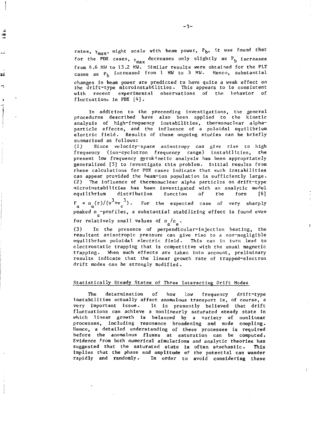rates,  $\gamma_{\text{max}}$ , might scale with beam power,  $P_{\text{b}}$ , it was found that for the PDX cases,  $\gamma_\mathtt{max}$  decreases only slightly as  $\tt P_{\tt b}$  increases from 6.6 MU to 13.2 MW. Similar results were obtained for the PLT cases as  $P_b$  increased from 1 MW to 3 MW. Hence, substantial

changes In beam power are predicted to have quite a weak effect on the drift-type microinstabtlities. This appears to be consistent with recent experimental observations of the behavior of fluctuations in PDX [4] .

In addition to the preceeding investigations, the general procedures described have also been applied to the kinetic analysis of high-frequency instabilities, thermonuclear alphaparticle effects, and the influence of a poloidal equilibrium electric field. Results of these ongoing studies can be briefly summarized as follows:

(1) Since velocity-space anisotropy can give rise to high frequency (ion-cyclotron frequency range) instabilities, the present low frequency gyrokinetic analysis has been appropriately generalized [5] to Investigate this problem. Initial results from these calculations for PDX cases indicate that such instabilities can appear provided the heam-lon population is sufficiently large. (2) The influence of thermonuclear alpha particles on drift-type microinstabilities has been investigated with an analytic model<br>equilibrium distribution function of the form [6] equilibrium distribution function of the form [6]

 $F_{\alpha} \propto n_{\alpha}(r)/(v^3+v_{c}^3)$ . For the expected case of very sharply peaked n -profiles, a substantial stabilizing effect is found even *a* 

for relatively small values of  $n_{\alpha}/n_{\rm e}$ .

÷

ΞŔ

In the presence of perpendicular-injection heating, the (3) In the presence of perpendicular-injection heating, the equilibrium poloidal electric field. This can in turn lead to electrostatic trapping that is competitive with the usual magnetic trapping. When such effects are taken into account, preliminary results indicate that the linear growth rate of trapped-electron results increase that the linear growth rate of trapped-electron.<br>drift modes can be strongly modified drift modes can be strongly modified.

#### Statistically Steady States of Three Interacting Drift Modes

The determination of how low frequency drift-type Instabilities actually affect anomalous transport is, of course, a very important issue. It is presently believed that drift fluctuations can achieve a nonlinearly saturated steady state in which linear growth is balanced by a variety of nonlinear processes, including resonance broadening and mode coupling. Hence, a detailed understanding of these processes is required before the anomalous fluxes at saturation can be computed. Evidence from both numerical simulations and analytic theories has suggested that the saturated state is often stochastic. This implies that the phase and amplitude of the potential can wander rapidly and randomly. In order to avoid considering these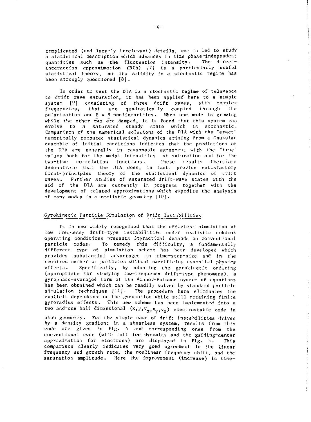complicated (and largely Irrelevant) details, one is led to study a statistical description which advances in time phase-independent quantities such as the fluctuation intensity. The directinteraction approximation (DIA) [7] is a particularly useful statistical theory, but its validity in a stochastic regime has been strongly questioned [8] .

In order to test the DIA in a stochastic regime of relevance to drift wave saturation, it has been applied here to a simple system [9] consisting of three drift waves, with complex<br>frequencies, that are quadratically coupled through the frequencies, that are quadratically coupled through polarization and E x B nonlinearities. When one mode is growing while the other two are damped, it is found that this system can evolve to a saturated steady state which is stochastic. Comparison of the numerical solutions of the DIA with the "exact" numerically computed statistical dynamics arising From a Gaussian ensemble of initial conditions indicates that the predictions of the DIA *are* generally in reasonable agreement with the "true" values both for the modal intensities at saturation and for the two-time correlation functions. These results therefore demonstrate that the DIA does, in fact, provide satisfactory first-principles theory of the statistical dynamics of drift waves. Further studies of saturated drift-wave states with the aid of the DIA are currently in progress together with the development of related approximations which expedite the analysis of many modes in a realistic geometry [10].

#### Cyrokinetic Particle Simulation of Drift Instabilities

It is now widely recognized that the efficient simulation of low frequency drift-type instabilities under realistic tokamak operating conditions presents impractical demands on conventional particle codes. To remedy this difficulty, a fundamentally different type of simulation scheme has been developed which provides substantial advantages in time-step-size and In the required number of particles without sacrificing essential physics effects. Specifically, by adopting the gyrokinetic ordering (appropriate for studying low-frequency drift-type phenomena), a gyrophase-averaged form of the Vlasov-Poisson system of equations has been obtained which can be readily solved by standard particle simulation techniques [11]. The procedure here eliminates the explicit dependence on the gyroinotion while still retaining finite gyroradtus effects. This new scheme has been implemented into a two-and-one-half-dimensional  $(x,y,v_x,v_y,v_z)$  electrostatic code in

slab geometry. For the simple case of drift instabilities driven by a density gradient in a shearless system, results from this code are given in Fig. 4 and corresponding ones from the conventional code (with full ion dynamics and the guiding-center approximation for electrons) are displayed in Fig. 5. This comparison clearly indicates very good agreement in the linear frequency and growth rate, the nonlinear frequency shift, and the saturation amplitude. Here the Improvement (increase) in time-

f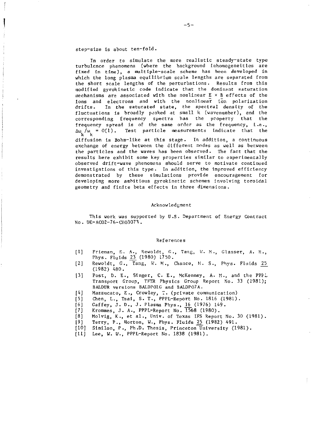#### step-size is about ten-fold.

In order to simulate the more realistic steady-state type turbulence phenomena (where the background lnhomogeneities are fixed in time), a multiple-scale scheme has been developed in which the long plasma equilibrium scale lengths are separated from the short scale lengths of the perturbations. Results from this modified gyrokinetlc code indicate that the dominant saturation mechanisms are associated with the nonlinear E x B effects of the ions and electrons and with the nonlinear ion polarization drifts. In the saturated state, the spectral density of the fluctuations is broadly peaked at small k (wavenumber), and the corresponding frequency spectra has the property that the frequency spread is of the same order as the frequency, i.e.,  $\Delta\omega$  / $\omega$  = 0(1). Test particle measurements indicate that the diffusion is Bohm-like at this stage. In addition, a continuous exchange of energy between the different modes as well as between the particles and the waves has been observed. The fact that the the particles and the waves has been observed. The fact that the substitution of the fact that the fact that the substitution of the fact that the substitution of the substitution of the substitution of the substitution of results here exhibit some key properties similar to experimentally observed drift-wave phenomena should serve to motivate continued

investigations of this type. In addition, the Improved efficiency demonstrated by these simulations provide encouragement for developing more ambitious gyrokinetlc schemes involving toroidal geometry and finite beta effects in three dimensions.

#### Acknowledgment

This work was supported by U.S. Department of Energy Contract No . DE-ACO2-76-CHO3073 .

#### References

- [1] Frieman, E. A., Rewoldt, G., Tang, W. M., Glasser, A. H., Phys. Fluids 23 (1980) 1750.
- [2] Rewoldt, G., Tang, W. M., Chance, M. S., Phys. Fluids 25 (1982) 480.
- [3] Post, D. E., Singer, C. E., McKenney, A. H., and the PPPL Transport Group, TFTR Physics Group Report No. 33 (1981); BALDUR versions BALDP01G and BALDP07A.
- [4] Mazzucato, E., Crowley, T. (private communication)<br>[5] Chen, L., Tsai, S. T., PPPL-Report No. 1816 (1981)

Chen, L., Tsai, S. T., PPPL-Report No. 1816 (1981).

- [6] Gaffey, J. D., J. Plasma Phys., 16 (1976) 149.
- [7] Krommes, J. A., PPPL-Report No. 1568 (1980).<br>[8] Molvig, K., et al., Univ. of Texas IFS Report

Molvig, K., et al., Univ. of Texas IFS Report No. 30 (1981).

- [9] Terry, P., Horton, W.( Phys. Fluids *25\_* (1982) 491.
- [10] Similon, P., Ph.D. Thesis, Princeton University (1981).
- [11] Lee, W. W., PPPL-Report No. 1838 (1981).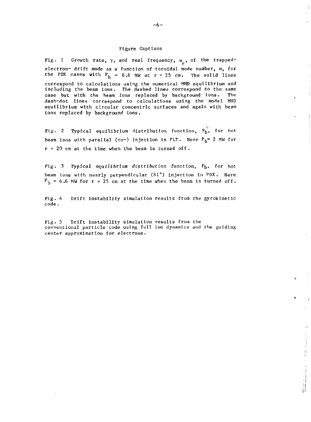## Figure Captions

Fig. 1 Growth rate,  $\gamma$ , and real frequency,  $\omega$ , of the trappedelectron- drift mode as a function of toroidal mode number, n, for the PDX cases with  $P_h = 6.6$  MW at  $r \approx 25$  cm. The solid lines correspond to calculations using the numerical MHD equilibrium and including the beam ions. The dashed lines correspond to the same case but with the beam ions replaced by background ions. The dash-dot lines correspond to calculations using the model MHD equilibrium with circular concentric surfaces and again with beam ions replaced by background ions.

Fig. 2 Typical equilibrium distribution function,  $F_b^{\prime\prime}$ , for hot beam ions with parallel (co-) injection in PLT. Here  $P_h$ = 2 MW for  $r = 20$  cm at the time when the beam is turned off.

Fig. 3 Typical equilibrium distribution function,  $F_b$ , for hot beam tons with nearly perpendicular (81°) injection in PDX. Here  $P_b = 6.6$  MW for r = 25 cm at the time when the beam is turned off.

Fig. 4 Drift instability simulation results from the gyroklnetic code .

Fig. 5 Drift instability simulation results from the conventional particle code using full ion dynamics and the guiding center approximation for electrons.

ţ

电压线电 的复数人名德里利特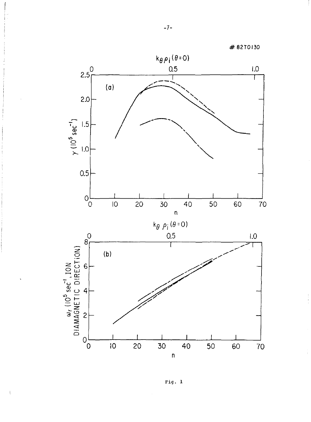

Fig. 1

 $\mathfrak i$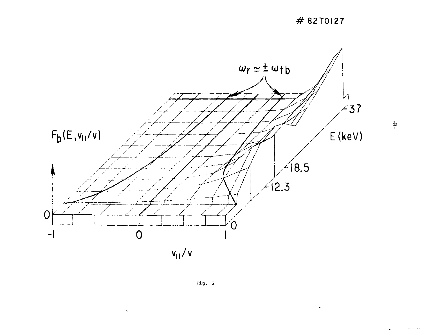



 $\ddot{\phantom{0}}$ 

 $\overset{\centerdot}{\varphi}$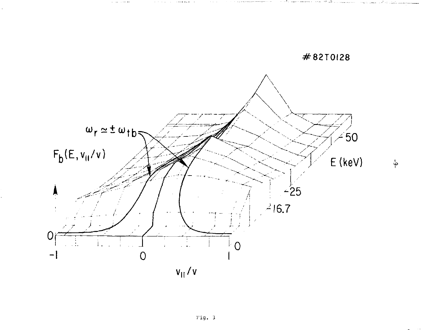$\frac{1}{\mathsf{Q}^-}$ 

#82T0128

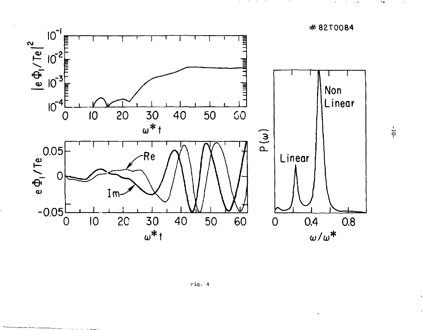

Fig. 4

 $\frac{1}{2}$ 

 $\epsilon$  .

 $\sim 1$ 

#82T0084

 $\bullet$  $\alpha$  , and  $\alpha$ 

the contract of the